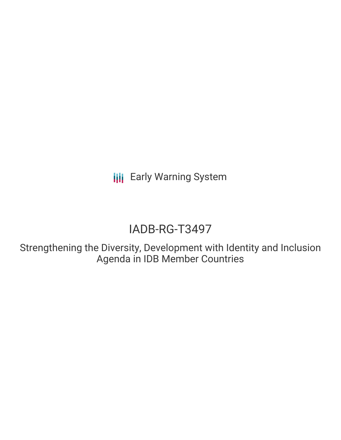**III** Early Warning System

# IADB-RG-T3497

Strengthening the Diversity, Development with Identity and Inclusion Agenda in IDB Member Countries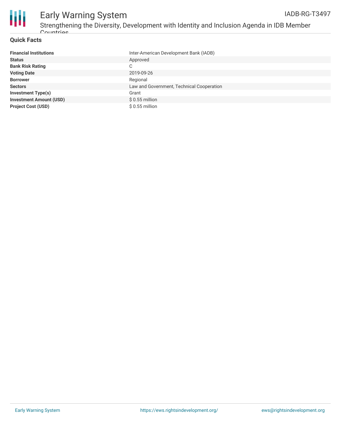

### **Quick Facts**

| <b>Financial Institutions</b>  | Inter-American Development Bank (IADB)    |
|--------------------------------|-------------------------------------------|
| <b>Status</b>                  | Approved                                  |
| <b>Bank Risk Rating</b>        | С                                         |
| <b>Voting Date</b>             | 2019-09-26                                |
| <b>Borrower</b>                | Regional                                  |
| <b>Sectors</b>                 | Law and Government, Technical Cooperation |
| <b>Investment Type(s)</b>      | Grant                                     |
| <b>Investment Amount (USD)</b> | $$0.55$ million                           |
| <b>Project Cost (USD)</b>      | $$0.55$ million                           |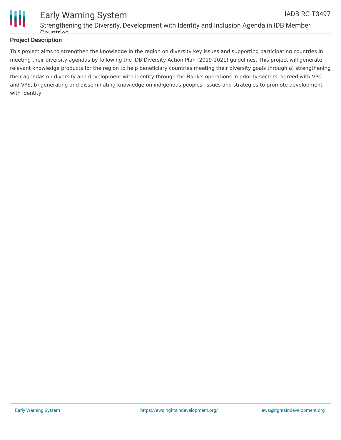

#### Early Warning System Strengthening the Diversity, Development with Identity and Inclusion Agenda in IDB Member Countries IADB-RG-T3497

### **Project Description**

This project aims to strengthen the knowledge in the region on diversity key issues and supporting participating countries in meeting their diversity agendas by following the IDB Diversity Action Plan (2019-2021) guidelines. This project will generate relevant knowledge products for the region to help beneficiary countries meeting their diversity goals through a) strengthening their agendas on diversity and development with identity through the Bank's operations in priority sectors, agreed with VPC and VPS, b) generating and disseminating knowledge on indigenous peoples' issues and strategies to promote development with identity.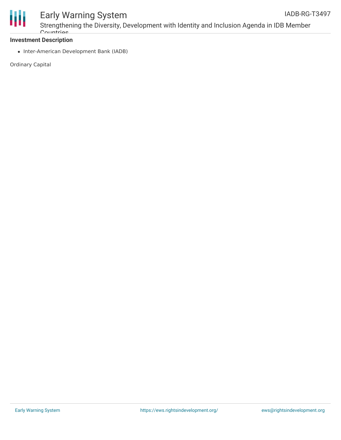

## Early Warning System

### **Investment Description**

• Inter-American Development Bank (IADB)

Ordinary Capital